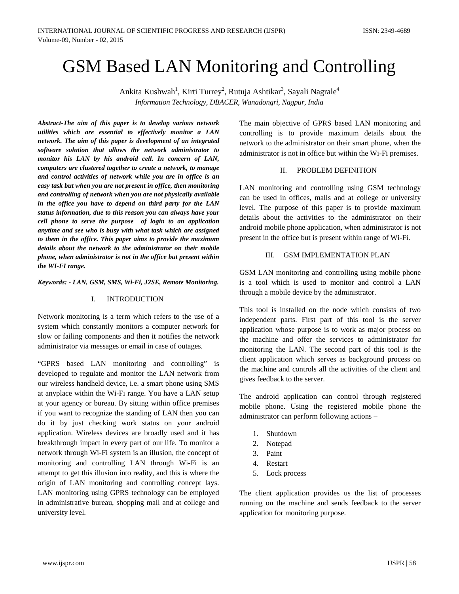# GSM Based LAN Monitoring and Controlling

Ankita Kushwah<sup>1</sup>, Kirti Turrey<sup>2</sup>, Rutuja Ashtikar<sup>3</sup>, Sayali Nagrale<sup>4</sup> *Information Technology, DBACER, Wanadongri, Nagpur, India*

*Abstract-The aim of this paper is to develop various network utilities which are essential to effectively monitor a LAN network. The aim of this paper is development of an integrated software solution that allows the network administrator to monitor his LAN by his android cell. In concern of LAN, computers are clustered together to create a network, to manage and control activities of network while you are in office is an easy task but when you are not present in office, then monitoring and controlling of network when you are not physically available in the office you have to depend on third party for the LAN status information, due to this reason you can always have your cell phone to serve the purpose of login to an application anytime and see who is busy with what task which are assigned to them in the office. This paper aims to provide the maximum details about the network to the administrator on their mobile phone, when administrator is not in the office but present within the WI-FI range.* 

*Keywords: - LAN, GSM, SMS, Wi-Fi, J2SE, Remote Monitoring.*

## I. INTRODUCTION

Network monitoring is a term which refers to the use of a system which constantly monitors a computer network for slow or failing components and then it notifies the network administrator via messages or email in case of outages.

"GPRS based LAN monitoring and controlling" is developed to regulate and monitor the LAN network from our wireless handheld device, i.e. a smart phone using SMS at anyplace within the Wi-Fi range. You have a LAN setup at your agency or bureau. By sitting within office premises if you want to recognize the standing of LAN then you can do it by just checking work status on your android application. Wireless devices are broadly used and it has breakthrough impact in every part of our life. To monitor a network through Wi-Fi system is an illusion, the concept of monitoring and controlling LAN through Wi-Fi is an attempt to get this illusion into reality, and this is where the origin of LAN monitoring and controlling concept lays. LAN monitoring using GPRS technology can be employed in administrative bureau, shopping mall and at college and university level.

The main objective of GPRS based LAN monitoring and controlling is to provide maximum details about the network to the administrator on their smart phone, when the administrator is not in office but within the Wi-Fi premises.

## II. PROBLEM DEFINITION

LAN monitoring and controlling using GSM technology can be used in offices, malls and at college or university level. The purpose of this paper is to provide maximum details about the activities to the administrator on their android mobile phone application, when administrator is not present in the office but is present within range of Wi-Fi.

# III. GSM IMPLEMENTATION PLAN

GSM LAN monitoring and controlling using mobile phone is a tool which is used to monitor and control a LAN through a mobile device by the administrator.

This tool is installed on the node which consists of two independent parts. First part of this tool is the server application whose purpose is to work as major process on the machine and offer the services to administrator for monitoring the LAN. The second part of this tool is the client application which serves as background process on the machine and controls all the activities of the client and gives feedback to the server.

The android application can control through registered mobile phone. Using the registered mobile phone the administrator can perform following actions –

- 1. Shutdown
- 2. Notepad
- 3. Paint
- 4. Restart
- 5. Lock process

The client application provides us the list of processes running on the machine and sends feedback to the server application for monitoring purpose.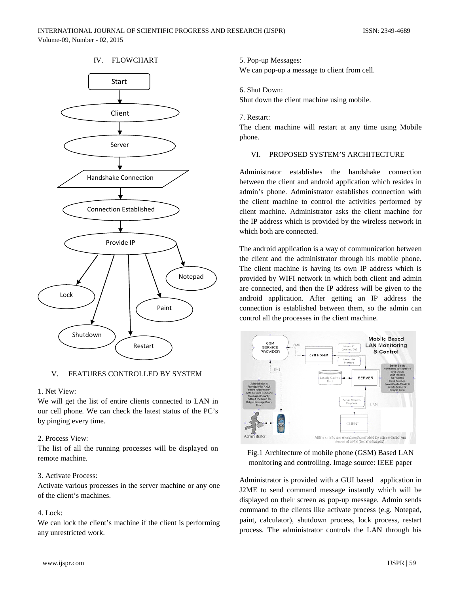# IV. FLOWCHART



## V. FEATURES CONTROLLED BY SYSTEM

## 1. Net View:

We will get the list of entire clients connected to LAN in our cell phone. We can check the latest status of the PC's by pinging every time.

## 2. Process View:

The list of all the running processes will be displayed on remote machine.

## 3. Activate Process:

Activate various processes in the server machine or any one of the client's machines.

## 4. Lock:

We can lock the client's machine if the client is performing any unrestricted work.

## 5. Pop-up Messages:

We can pop-up a message to client from cell.

## 6. Shut Down:

Shut down the client machine using mobile.

#### 7. Restart:

The client machine will restart at any time using Mobile phone.

## VI. PROPOSED SYSTEM'S ARCHITECTURE

Administrator establishes the handshake connection between the client and android application which resides in admin's phone. Administrator establishes connection with the client machine to control the activities performed by client machine. Administrator asks the client machine for the IP address which is provided by the wireless network in which both are connected.

The android application is a way of communication between the client and the administrator through his mobile phone. The client machine is having its own IP address which is provided by WIFI network in which both client and admin are connected, and then the IP address will be given to the android application. After getting an IP address the connection is established between them, so the admin can control all the processes in the client machine.



Fig.1 Architecture of mobile phone (GSM) Based LAN monitoring and controlling. Image source: IEEE paper

Administrator is provided with a GUI based application in J2ME to send command message instantly which will be displayed on their screen as pop-up message. Admin sends command to the clients like activate process (e.g. Notepad, paint, calculator), shutdown process, lock process, restart process. The administrator controls the LAN through his